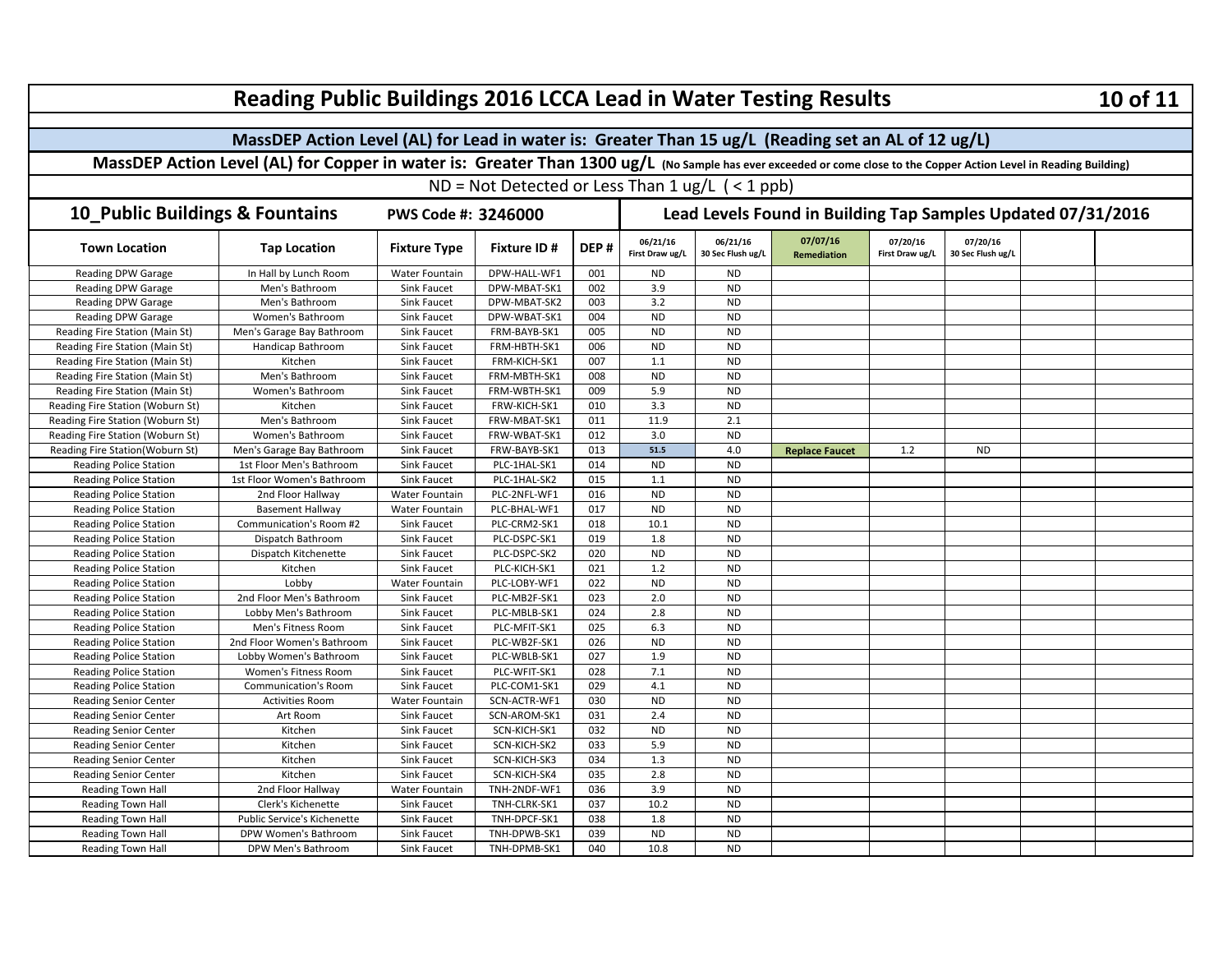| <b>Reading Public Buildings 2016 LCCA Lead in Water Testing Results</b>                                                                                             |                             |                       |                    |                                                                                                                                                                                                                                                                                                                                                                                                                                                                                                                                                                                                                                                                                                                                                                                                                                                                                                                                                                                                                                                                                                                                                                                                                                                                                                                                                                                                                                                                                                                                         |      |           |  |  |  |  | 10 of 11 |  |  |
|---------------------------------------------------------------------------------------------------------------------------------------------------------------------|-----------------------------|-----------------------|--------------------|-----------------------------------------------------------------------------------------------------------------------------------------------------------------------------------------------------------------------------------------------------------------------------------------------------------------------------------------------------------------------------------------------------------------------------------------------------------------------------------------------------------------------------------------------------------------------------------------------------------------------------------------------------------------------------------------------------------------------------------------------------------------------------------------------------------------------------------------------------------------------------------------------------------------------------------------------------------------------------------------------------------------------------------------------------------------------------------------------------------------------------------------------------------------------------------------------------------------------------------------------------------------------------------------------------------------------------------------------------------------------------------------------------------------------------------------------------------------------------------------------------------------------------------------|------|-----------|--|--|--|--|----------|--|--|
|                                                                                                                                                                     |                             |                       |                    |                                                                                                                                                                                                                                                                                                                                                                                                                                                                                                                                                                                                                                                                                                                                                                                                                                                                                                                                                                                                                                                                                                                                                                                                                                                                                                                                                                                                                                                                                                                                         |      |           |  |  |  |  |          |  |  |
| MassDEP Action Level (AL) for Lead in water is: Greater Than 15 ug/L (Reading set an AL of 12 ug/L)                                                                 |                             |                       |                    |                                                                                                                                                                                                                                                                                                                                                                                                                                                                                                                                                                                                                                                                                                                                                                                                                                                                                                                                                                                                                                                                                                                                                                                                                                                                                                                                                                                                                                                                                                                                         |      |           |  |  |  |  |          |  |  |
| MassDEP Action Level (AL) for Copper in water is: Greater Than 1300 ug/L (No Sample has ever exceeded or come close to the Copper Action Level in Reading Building) |                             |                       |                    |                                                                                                                                                                                                                                                                                                                                                                                                                                                                                                                                                                                                                                                                                                                                                                                                                                                                                                                                                                                                                                                                                                                                                                                                                                                                                                                                                                                                                                                                                                                                         |      |           |  |  |  |  |          |  |  |
|                                                                                                                                                                     |                             |                       |                    | ND = Not Detected or Less Than $1 \text{ ug/L}$ ( < 1 ppb)<br>Lead Levels Found in Building Tap Samples Updated 07/31/2016<br>07/07/16<br>07/20/16<br>07/20/16<br>06/21/16<br>06/21/16<br>DEP#<br>First Draw ug/L<br>30 Sec Flush ug/L<br><b>Remediation</b><br>First Draw ug/L<br>30 Sec Flush ug/L<br>001<br><b>ND</b><br><b>ND</b><br>3.9<br><b>ND</b><br>002<br>3.2<br>003<br><b>ND</b><br>004<br><b>ND</b><br><b>ND</b><br>005<br><b>ND</b><br><b>ND</b><br><b>ND</b><br><b>ND</b><br>006<br>007<br>1.1<br><b>ND</b><br><b>ND</b><br>008<br><b>ND</b><br>5.9<br><b>ND</b><br>009<br>3.3<br><b>ND</b><br>010<br>011<br>11.9<br>2.1<br>3.0<br>012<br><b>ND</b><br>51.5<br>013<br>4.0<br>1.2<br><b>ND</b><br><b>Replace Faucet</b><br><b>ND</b><br><b>ND</b><br>014<br><b>ND</b><br>015<br>1.1<br>016<br><b>ND</b><br><b>ND</b><br>017<br><b>ND</b><br><b>ND</b><br>018<br>10.1<br><b>ND</b><br>1.8<br>019<br><b>ND</b><br><b>ND</b><br><b>ND</b><br>020<br>021<br>1.2<br><b>ND</b><br><b>ND</b><br>022<br><b>ND</b><br>2.0<br>023<br><b>ND</b><br>024<br>2.8<br><b>ND</b><br>025<br>6.3<br><b>ND</b><br>026<br><b>ND</b><br><b>ND</b><br>1.9<br>027<br><b>ND</b><br>7.1<br><b>ND</b><br>028<br>029<br>4.1<br><b>ND</b><br><b>ND</b><br><b>ND</b><br>030<br>031<br>2.4<br><b>ND</b><br><b>ND</b><br><b>ND</b><br>032<br>5.9<br><b>ND</b><br>033<br>1.3<br><b>ND</b><br>034<br>035<br>2.8<br><b>ND</b><br>$\overline{3.9}$<br>036<br><b>ND</b><br>10.2<br><b>ND</b><br>037<br>038<br>1.8<br><b>ND</b><br><b>ND</b><br><b>ND</b><br>039 |      |           |  |  |  |  |          |  |  |
| 10_Public Buildings & Fountains                                                                                                                                     |                             | PWS Code #: 3246000   |                    |                                                                                                                                                                                                                                                                                                                                                                                                                                                                                                                                                                                                                                                                                                                                                                                                                                                                                                                                                                                                                                                                                                                                                                                                                                                                                                                                                                                                                                                                                                                                         |      |           |  |  |  |  |          |  |  |
| <b>Town Location</b>                                                                                                                                                | <b>Tap Location</b>         | <b>Fixture Type</b>   | <b>Fixture ID#</b> |                                                                                                                                                                                                                                                                                                                                                                                                                                                                                                                                                                                                                                                                                                                                                                                                                                                                                                                                                                                                                                                                                                                                                                                                                                                                                                                                                                                                                                                                                                                                         |      |           |  |  |  |  |          |  |  |
| <b>Reading DPW Garage</b>                                                                                                                                           | In Hall by Lunch Room       | Water Fountain        | DPW-HALL-WF1       |                                                                                                                                                                                                                                                                                                                                                                                                                                                                                                                                                                                                                                                                                                                                                                                                                                                                                                                                                                                                                                                                                                                                                                                                                                                                                                                                                                                                                                                                                                                                         |      |           |  |  |  |  |          |  |  |
| <b>Reading DPW Garage</b>                                                                                                                                           | Men's Bathroom              | Sink Faucet           | DPW-MBAT-SK1       |                                                                                                                                                                                                                                                                                                                                                                                                                                                                                                                                                                                                                                                                                                                                                                                                                                                                                                                                                                                                                                                                                                                                                                                                                                                                                                                                                                                                                                                                                                                                         |      |           |  |  |  |  |          |  |  |
| <b>Reading DPW Garage</b>                                                                                                                                           | Men's Bathroom              | Sink Faucet           | DPW-MBAT-SK2       |                                                                                                                                                                                                                                                                                                                                                                                                                                                                                                                                                                                                                                                                                                                                                                                                                                                                                                                                                                                                                                                                                                                                                                                                                                                                                                                                                                                                                                                                                                                                         |      |           |  |  |  |  |          |  |  |
| <b>Reading DPW Garage</b>                                                                                                                                           | Women's Bathroom            | Sink Faucet           | DPW-WBAT-SK1       |                                                                                                                                                                                                                                                                                                                                                                                                                                                                                                                                                                                                                                                                                                                                                                                                                                                                                                                                                                                                                                                                                                                                                                                                                                                                                                                                                                                                                                                                                                                                         |      |           |  |  |  |  |          |  |  |
| Reading Fire Station (Main St)                                                                                                                                      | Men's Garage Bay Bathroom   | Sink Faucet           | FRM-BAYB-SK1       |                                                                                                                                                                                                                                                                                                                                                                                                                                                                                                                                                                                                                                                                                                                                                                                                                                                                                                                                                                                                                                                                                                                                                                                                                                                                                                                                                                                                                                                                                                                                         |      |           |  |  |  |  |          |  |  |
| Reading Fire Station (Main St)                                                                                                                                      | Handicap Bathroom           | Sink Faucet           | FRM-HBTH-SK1       |                                                                                                                                                                                                                                                                                                                                                                                                                                                                                                                                                                                                                                                                                                                                                                                                                                                                                                                                                                                                                                                                                                                                                                                                                                                                                                                                                                                                                                                                                                                                         |      |           |  |  |  |  |          |  |  |
| Reading Fire Station (Main St)                                                                                                                                      | Kitchen                     | Sink Faucet           | FRM-KICH-SK1       |                                                                                                                                                                                                                                                                                                                                                                                                                                                                                                                                                                                                                                                                                                                                                                                                                                                                                                                                                                                                                                                                                                                                                                                                                                                                                                                                                                                                                                                                                                                                         |      |           |  |  |  |  |          |  |  |
| Reading Fire Station (Main St)                                                                                                                                      | Men's Bathroom              | Sink Faucet           | FRM-MBTH-SK1       |                                                                                                                                                                                                                                                                                                                                                                                                                                                                                                                                                                                                                                                                                                                                                                                                                                                                                                                                                                                                                                                                                                                                                                                                                                                                                                                                                                                                                                                                                                                                         |      |           |  |  |  |  |          |  |  |
| Reading Fire Station (Main St)                                                                                                                                      | Women's Bathroom            | Sink Faucet           | FRM-WBTH-SK1       |                                                                                                                                                                                                                                                                                                                                                                                                                                                                                                                                                                                                                                                                                                                                                                                                                                                                                                                                                                                                                                                                                                                                                                                                                                                                                                                                                                                                                                                                                                                                         |      |           |  |  |  |  |          |  |  |
| Reading Fire Station (Woburn St)                                                                                                                                    | Kitchen                     | Sink Faucet           | FRW-KICH-SK1       |                                                                                                                                                                                                                                                                                                                                                                                                                                                                                                                                                                                                                                                                                                                                                                                                                                                                                                                                                                                                                                                                                                                                                                                                                                                                                                                                                                                                                                                                                                                                         |      |           |  |  |  |  |          |  |  |
| Reading Fire Station (Woburn St)                                                                                                                                    | Men's Bathroom              | Sink Faucet           | FRW-MBAT-SK1       |                                                                                                                                                                                                                                                                                                                                                                                                                                                                                                                                                                                                                                                                                                                                                                                                                                                                                                                                                                                                                                                                                                                                                                                                                                                                                                                                                                                                                                                                                                                                         |      |           |  |  |  |  |          |  |  |
| Reading Fire Station (Woburn St)                                                                                                                                    | Women's Bathroom            | Sink Faucet           | FRW-WBAT-SK1       |                                                                                                                                                                                                                                                                                                                                                                                                                                                                                                                                                                                                                                                                                                                                                                                                                                                                                                                                                                                                                                                                                                                                                                                                                                                                                                                                                                                                                                                                                                                                         |      |           |  |  |  |  |          |  |  |
| Reading Fire Station(Woburn St)                                                                                                                                     | Men's Garage Bay Bathroom   | Sink Faucet           | FRW-BAYB-SK1       |                                                                                                                                                                                                                                                                                                                                                                                                                                                                                                                                                                                                                                                                                                                                                                                                                                                                                                                                                                                                                                                                                                                                                                                                                                                                                                                                                                                                                                                                                                                                         |      |           |  |  |  |  |          |  |  |
| <b>Reading Police Station</b>                                                                                                                                       | 1st Floor Men's Bathroom    | Sink Faucet           | PLC-1HAL-SK1       |                                                                                                                                                                                                                                                                                                                                                                                                                                                                                                                                                                                                                                                                                                                                                                                                                                                                                                                                                                                                                                                                                                                                                                                                                                                                                                                                                                                                                                                                                                                                         |      |           |  |  |  |  |          |  |  |
| <b>Reading Police Station</b>                                                                                                                                       | 1st Floor Women's Bathroom  | Sink Faucet           | PLC-1HAL-SK2       |                                                                                                                                                                                                                                                                                                                                                                                                                                                                                                                                                                                                                                                                                                                                                                                                                                                                                                                                                                                                                                                                                                                                                                                                                                                                                                                                                                                                                                                                                                                                         |      |           |  |  |  |  |          |  |  |
| <b>Reading Police Station</b>                                                                                                                                       | 2nd Floor Hallway           | Water Fountain        | PLC-2NFL-WF1       |                                                                                                                                                                                                                                                                                                                                                                                                                                                                                                                                                                                                                                                                                                                                                                                                                                                                                                                                                                                                                                                                                                                                                                                                                                                                                                                                                                                                                                                                                                                                         |      |           |  |  |  |  |          |  |  |
| <b>Reading Police Station</b>                                                                                                                                       | <b>Basement Hallway</b>     | Water Fountain        | PLC-BHAL-WF1       |                                                                                                                                                                                                                                                                                                                                                                                                                                                                                                                                                                                                                                                                                                                                                                                                                                                                                                                                                                                                                                                                                                                                                                                                                                                                                                                                                                                                                                                                                                                                         |      |           |  |  |  |  |          |  |  |
| <b>Reading Police Station</b>                                                                                                                                       | Communication's Room #2     | Sink Faucet           | PLC-CRM2-SK1       |                                                                                                                                                                                                                                                                                                                                                                                                                                                                                                                                                                                                                                                                                                                                                                                                                                                                                                                                                                                                                                                                                                                                                                                                                                                                                                                                                                                                                                                                                                                                         |      |           |  |  |  |  |          |  |  |
| <b>Reading Police Station</b>                                                                                                                                       | Dispatch Bathroom           | Sink Faucet           | PLC-DSPC-SK1       |                                                                                                                                                                                                                                                                                                                                                                                                                                                                                                                                                                                                                                                                                                                                                                                                                                                                                                                                                                                                                                                                                                                                                                                                                                                                                                                                                                                                                                                                                                                                         |      |           |  |  |  |  |          |  |  |
| <b>Reading Police Station</b>                                                                                                                                       | Dispatch Kitchenette        | Sink Faucet           | PLC-DSPC-SK2       |                                                                                                                                                                                                                                                                                                                                                                                                                                                                                                                                                                                                                                                                                                                                                                                                                                                                                                                                                                                                                                                                                                                                                                                                                                                                                                                                                                                                                                                                                                                                         |      |           |  |  |  |  |          |  |  |
| <b>Reading Police Station</b>                                                                                                                                       | Kitchen                     | Sink Faucet           | PLC-KICH-SK1       |                                                                                                                                                                                                                                                                                                                                                                                                                                                                                                                                                                                                                                                                                                                                                                                                                                                                                                                                                                                                                                                                                                                                                                                                                                                                                                                                                                                                                                                                                                                                         |      |           |  |  |  |  |          |  |  |
| <b>Reading Police Station</b>                                                                                                                                       | Lobby                       | Water Fountain        | PLC-LOBY-WF1       |                                                                                                                                                                                                                                                                                                                                                                                                                                                                                                                                                                                                                                                                                                                                                                                                                                                                                                                                                                                                                                                                                                                                                                                                                                                                                                                                                                                                                                                                                                                                         |      |           |  |  |  |  |          |  |  |
| <b>Reading Police Station</b>                                                                                                                                       | 2nd Floor Men's Bathroom    | Sink Faucet           | PLC-MB2F-SK1       |                                                                                                                                                                                                                                                                                                                                                                                                                                                                                                                                                                                                                                                                                                                                                                                                                                                                                                                                                                                                                                                                                                                                                                                                                                                                                                                                                                                                                                                                                                                                         |      |           |  |  |  |  |          |  |  |
| <b>Reading Police Station</b>                                                                                                                                       | Lobby Men's Bathroom        | Sink Faucet           | PLC-MBLB-SK1       |                                                                                                                                                                                                                                                                                                                                                                                                                                                                                                                                                                                                                                                                                                                                                                                                                                                                                                                                                                                                                                                                                                                                                                                                                                                                                                                                                                                                                                                                                                                                         |      |           |  |  |  |  |          |  |  |
| <b>Reading Police Station</b>                                                                                                                                       | Men's Fitness Room          | Sink Faucet           | PLC-MFIT-SK1       |                                                                                                                                                                                                                                                                                                                                                                                                                                                                                                                                                                                                                                                                                                                                                                                                                                                                                                                                                                                                                                                                                                                                                                                                                                                                                                                                                                                                                                                                                                                                         |      |           |  |  |  |  |          |  |  |
| <b>Reading Police Station</b>                                                                                                                                       | 2nd Floor Women's Bathroom  | Sink Faucet           | PLC-WB2F-SK1       |                                                                                                                                                                                                                                                                                                                                                                                                                                                                                                                                                                                                                                                                                                                                                                                                                                                                                                                                                                                                                                                                                                                                                                                                                                                                                                                                                                                                                                                                                                                                         |      |           |  |  |  |  |          |  |  |
| <b>Reading Police Station</b>                                                                                                                                       | Lobby Women's Bathroom      | Sink Faucet           | PLC-WBLB-SK1       |                                                                                                                                                                                                                                                                                                                                                                                                                                                                                                                                                                                                                                                                                                                                                                                                                                                                                                                                                                                                                                                                                                                                                                                                                                                                                                                                                                                                                                                                                                                                         |      |           |  |  |  |  |          |  |  |
| <b>Reading Police Station</b>                                                                                                                                       | Women's Fitness Room        | Sink Faucet           | PLC-WFIT-SK1       |                                                                                                                                                                                                                                                                                                                                                                                                                                                                                                                                                                                                                                                                                                                                                                                                                                                                                                                                                                                                                                                                                                                                                                                                                                                                                                                                                                                                                                                                                                                                         |      |           |  |  |  |  |          |  |  |
| <b>Reading Police Station</b>                                                                                                                                       | <b>Communication's Room</b> | Sink Faucet           | PLC-COM1-SK1       |                                                                                                                                                                                                                                                                                                                                                                                                                                                                                                                                                                                                                                                                                                                                                                                                                                                                                                                                                                                                                                                                                                                                                                                                                                                                                                                                                                                                                                                                                                                                         |      |           |  |  |  |  |          |  |  |
| <b>Reading Senior Center</b>                                                                                                                                        | <b>Activities Room</b>      | Water Fountain        | SCN-ACTR-WF1       |                                                                                                                                                                                                                                                                                                                                                                                                                                                                                                                                                                                                                                                                                                                                                                                                                                                                                                                                                                                                                                                                                                                                                                                                                                                                                                                                                                                                                                                                                                                                         |      |           |  |  |  |  |          |  |  |
| <b>Reading Senior Center</b>                                                                                                                                        | Art Room                    | Sink Faucet           | SCN-AROM-SK1       |                                                                                                                                                                                                                                                                                                                                                                                                                                                                                                                                                                                                                                                                                                                                                                                                                                                                                                                                                                                                                                                                                                                                                                                                                                                                                                                                                                                                                                                                                                                                         |      |           |  |  |  |  |          |  |  |
| <b>Reading Senior Center</b>                                                                                                                                        | Kitchen                     | Sink Faucet           | SCN-KICH-SK1       |                                                                                                                                                                                                                                                                                                                                                                                                                                                                                                                                                                                                                                                                                                                                                                                                                                                                                                                                                                                                                                                                                                                                                                                                                                                                                                                                                                                                                                                                                                                                         |      |           |  |  |  |  |          |  |  |
| <b>Reading Senior Center</b>                                                                                                                                        | Kitchen                     | Sink Faucet           | SCN-KICH-SK2       |                                                                                                                                                                                                                                                                                                                                                                                                                                                                                                                                                                                                                                                                                                                                                                                                                                                                                                                                                                                                                                                                                                                                                                                                                                                                                                                                                                                                                                                                                                                                         |      |           |  |  |  |  |          |  |  |
| <b>Reading Senior Center</b>                                                                                                                                        | Kitchen                     | Sink Faucet           | SCN-KICH-SK3       |                                                                                                                                                                                                                                                                                                                                                                                                                                                                                                                                                                                                                                                                                                                                                                                                                                                                                                                                                                                                                                                                                                                                                                                                                                                                                                                                                                                                                                                                                                                                         |      |           |  |  |  |  |          |  |  |
| <b>Reading Senior Center</b>                                                                                                                                        | Kitchen                     | Sink Faucet           | SCN-KICH-SK4       |                                                                                                                                                                                                                                                                                                                                                                                                                                                                                                                                                                                                                                                                                                                                                                                                                                                                                                                                                                                                                                                                                                                                                                                                                                                                                                                                                                                                                                                                                                                                         |      |           |  |  |  |  |          |  |  |
| <b>Reading Town Hall</b>                                                                                                                                            | 2nd Floor Hallway           | <b>Water Fountain</b> | TNH-2NDF-WF1       |                                                                                                                                                                                                                                                                                                                                                                                                                                                                                                                                                                                                                                                                                                                                                                                                                                                                                                                                                                                                                                                                                                                                                                                                                                                                                                                                                                                                                                                                                                                                         |      |           |  |  |  |  |          |  |  |
| <b>Reading Town Hall</b>                                                                                                                                            | Clerk's Kichenette          | Sink Faucet           | TNH-CLRK-SK1       |                                                                                                                                                                                                                                                                                                                                                                                                                                                                                                                                                                                                                                                                                                                                                                                                                                                                                                                                                                                                                                                                                                                                                                                                                                                                                                                                                                                                                                                                                                                                         |      |           |  |  |  |  |          |  |  |
| <b>Reading Town Hall</b>                                                                                                                                            | Public Service's Kichenette | Sink Faucet           | TNH-DPCF-SK1       |                                                                                                                                                                                                                                                                                                                                                                                                                                                                                                                                                                                                                                                                                                                                                                                                                                                                                                                                                                                                                                                                                                                                                                                                                                                                                                                                                                                                                                                                                                                                         |      |           |  |  |  |  |          |  |  |
| <b>Reading Town Hall</b>                                                                                                                                            | DPW Women's Bathroom        | Sink Faucet           | TNH-DPWB-SK1       |                                                                                                                                                                                                                                                                                                                                                                                                                                                                                                                                                                                                                                                                                                                                                                                                                                                                                                                                                                                                                                                                                                                                                                                                                                                                                                                                                                                                                                                                                                                                         |      |           |  |  |  |  |          |  |  |
| <b>Reading Town Hall</b>                                                                                                                                            | DPW Men's Bathroom          | Sink Faucet           | TNH-DPMB-SK1       | 040                                                                                                                                                                                                                                                                                                                                                                                                                                                                                                                                                                                                                                                                                                                                                                                                                                                                                                                                                                                                                                                                                                                                                                                                                                                                                                                                                                                                                                                                                                                                     | 10.8 | <b>ND</b> |  |  |  |  |          |  |  |